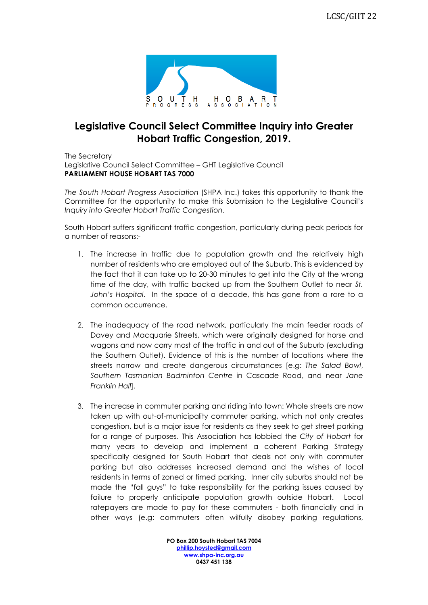

## **Legislative Council Select Committee Inquiry into Greater Hobart Traffic Congestion, 2019.**

The Secretary Legislative Council Select Committee – GHT Legislative Council **PARLIAMENT HOUSE HOBART TAS 7000**

*The South Hobart Progress Association* (SHPA Inc.) takes this opportunity to thank the Committee for the opportunity to make this Submission to the Legislative Council's *Inquiry into Greater Hobart Traffic Congestion*.

South Hobart suffers significant traffic congestion, particularly during peak periods for a number of reasons:-

- 1. The increase in traffic due to population growth and the relatively high number of residents who are employed out of the Suburb. This is evidenced by the fact that it can take up to 20-30 minutes to get into the City at the wrong time of the day, with traffic backed up from the Southern Outlet to near *St. John's Hospital*. In the space of a decade, this has gone from a rare to a common occurrence.
- 2. The inadequacy of the road network, particularly the main feeder roads of Davey and Macquarie Streets, which were originally designed for horse and wagons and now carry most of the traffic in and out of the Suburb (excluding the Southern Outlet). Evidence of this is the number of locations where the streets narrow and create dangerous circumstances [e.g: *The Salad Bowl*, *Southern Tasmanian Badminton Centre* in Cascade Road, and near *Jane Franklin Hall*].
- 3. The increase in commuter parking and riding into town: Whole streets are now taken up with out-of-municipality commuter parking, which not only creates congestion, but is a major issue for residents as they seek to get street parking for a range of purposes. This Association has lobbied the *City of Hobart* for many years to develop and implement a coherent Parking Strategy specifically designed for South Hobart that deals not only with commuter parking but also addresses increased demand and the wishes of local residents in terms of zoned or timed parking. Inner city suburbs should not be made the "fall guys" to take responsibility for the parking issues caused by failure to properly anticipate population growth outside Hobart. Local ratepayers are made to pay for these commuters - both financially and in other ways (e.g: commuters often wilfully disobey parking regulations,

**PO Box 200 South Hobart TAS 7004 [phillip.hoysted@gmail.com](mailto:phillip.hoysted@gmail.com) [www.shpa-inc.org.au](http://www.shpa-inc.org.au/) 0437 451 138**